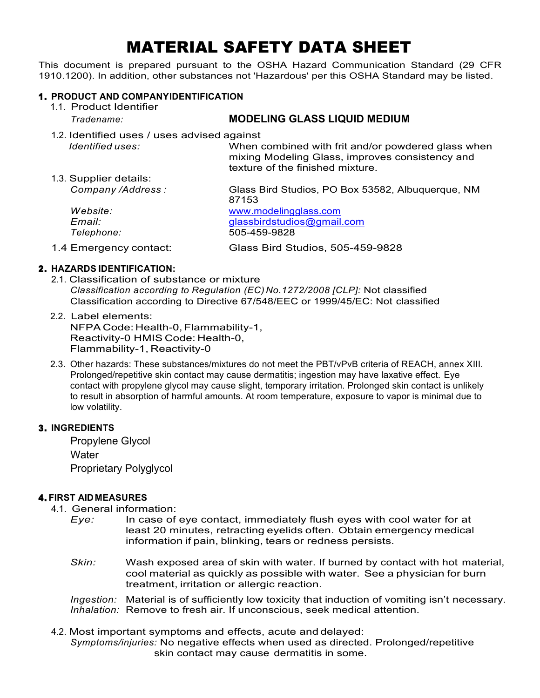# MATERIAL SAFETY DATA SHEET

This document is prepared pursuant to the OSHA Hazard Communication Standard (29 CFR 1910.1200). In addition, other substances not 'Hazardous' per this OSHA Standard may be listed.

#### 1 . **PRODUCT AND COMPANYIDENTIFICATION**

1.1. Product Identifier *Tradename:* **MODELING GLASS LIQUID MEDIUM** 1.2. Identified uses / uses advised against *Identified uses:* When combined with frit and/or powdered glass when mixing Modeling Glass, improves consistency and texture of the finished mixture. 1.3. Supplier details: *Company /Address :* Glass Bird Studios, PO Box 53582, Albuquerque, NM 87153 *Website:* www.modelingglass.com *Email:* [glassbirdstudios@gmail.com](mailto:glassbirdstudios@gmail.com) *Telephone:* 505-459-9828 1.4 Emergency contact: Glass Bird Studios, 505-459-9828

## 2 . **HAZARDS IDENTIFICATION:**

- 2.1. Classification of substance or mixture *Classification according to Regulation (EC) No.1272/2008 [CLP]:* Not classified Classification according to Directive 67/548/EEC or 1999/45/EC: Not classified
- 2.2. Label elements: NFPA Code: Health-0, Flammability-1, Reactivity-0 HMIS Code: Health-0, Flammability-1, Reactivity-0
- 2.3. Other hazards: These substances/mixtures do not meet the PBT/vPvB criteria of REACH, annex XIII. Prolonged/repetitive skin contact may cause dermatitis; ingestion may have laxative effect. Eye contact with propylene glycol may cause slight, temporary irritation. Prolonged skin contact is unlikely to result in absorption of harmful amounts. At room temperature, exposure to vapor is minimal due to low volatility.

#### 3 . **INGREDIENTS**

Propylene Glycol **Water** Proprietary Polyglycol

## 4 . **FIRST AID MEASURES**

4.1. General information:

- *Eye:* In case of eye contact, immediately flush eyes with cool water for at least 20 minutes, retracting eyelids often. Obtain emergency medical information if pain, blinking, tears or redness persists.
- *Skin:* Wash exposed area of skin with water. If burned by contact with hot material, cool material as quickly as possible with water. See a physician for burn treatment, irritation or allergic reaction.

*Ingestion:* Material is of sufficiently low toxicity that induction of vomiting isn't necessary. *Inhalation:* Remove to fresh air. If unconscious, seek medical attention.

4.2. Most important symptoms and effects, acute and delayed: *Symptoms/injuries:* No negative effects when used as directed. Prolonged/repetitive skin contact may cause dermatitis in some.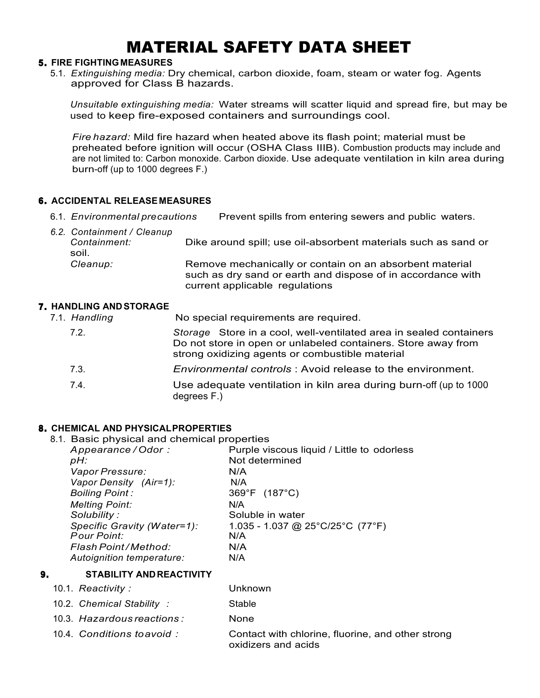## MATERIAL SAFETY DATA SHEET

#### 5 . **FIRE FIGHTINGMEASURES**

5.1. *Extinguishing media:* Dry chemical, carbon dioxide, foam, steam or water fog. Agents approved for Class B hazards.

*Unsuitable extinguishing media:* Water streams will scatter liquid and spread fire, but may be used to keep fire-exposed containers and surroundings cool.

*Fire hazard:* Mild fire hazard when heated above its flash point; material must be preheated before ignition will occur (OSHA Class IIIB). Combustion products may include and are not limited to: Carbon monoxide. Carbon dioxide. Use adequate ventilation in kiln area during burn-off (up to 1000 degrees F.)

#### 6 . **ACCIDENTAL RELEASEMEASURES**

6.1. *Environmental precautions* Prevent spills from entering sewers and public waters.

| 6.2. Containment / Cleanup<br>Containment:<br>soil. | Dike around spill; use oil-absorbent materials such as sand or                                                                                           |
|-----------------------------------------------------|----------------------------------------------------------------------------------------------------------------------------------------------------------|
| Cleanup:                                            | Remove mechanically or contain on an absorbent material<br>such as dry sand or earth and dispose of in accordance with<br>current applicable regulations |

#### 7 . **HANDLING ANDSTORAGE**

7.1. *Handling* No special requirements are required. 7.2. *Storage* Store in a cool, well-ventilated area in sealed containers Do not store in open or unlabeled containers. Store away from strong oxidizing agents or combustible material 7.3. *Environmental controls* : Avoid release to the environment. 7.4. Use adequate ventilation in kiln area during burn-off (up to 1000 degrees F.)

## 8 . **CHEMICAL AND PHYSICALPROPERTIES**

8.1. Basic physical and chemical properties

| Appearance/Odor:            | Purple viscous liquid / Little to odorless |
|-----------------------------|--------------------------------------------|
| pH:                         | Not determined                             |
| Vapor Pressure:             | N/A                                        |
| Vapor Density (Air=1):      | N/A                                        |
| <b>Boiling Point:</b>       | 369°F (187°C)                              |
| <b>Melting Point:</b>       | N/A                                        |
| Solubility:                 | Soluble in water                           |
| Specific Gravity (Water=1): | 1.035 - 1.037 @ 25°C/25°C (77°F)           |
| <b>Pour Point:</b>          | N/A                                        |
| Flash Point/Method:         | N/A                                        |
| Autoignition temperature:   | N/A                                        |
|                             |                                            |

#### 9 . **STABILITY ANDREACTIVITY**

| 10.1. Reactivity: | Unknown |
|-------------------|---------|
|-------------------|---------|

- 10.2. *Chemical Stability :* Stable
- 10.3. *Hazardous reactions :* None
- 10.4. *Conditions toavoid :* Contact with chlorine, fluorine, and other strong oxidizers and acids